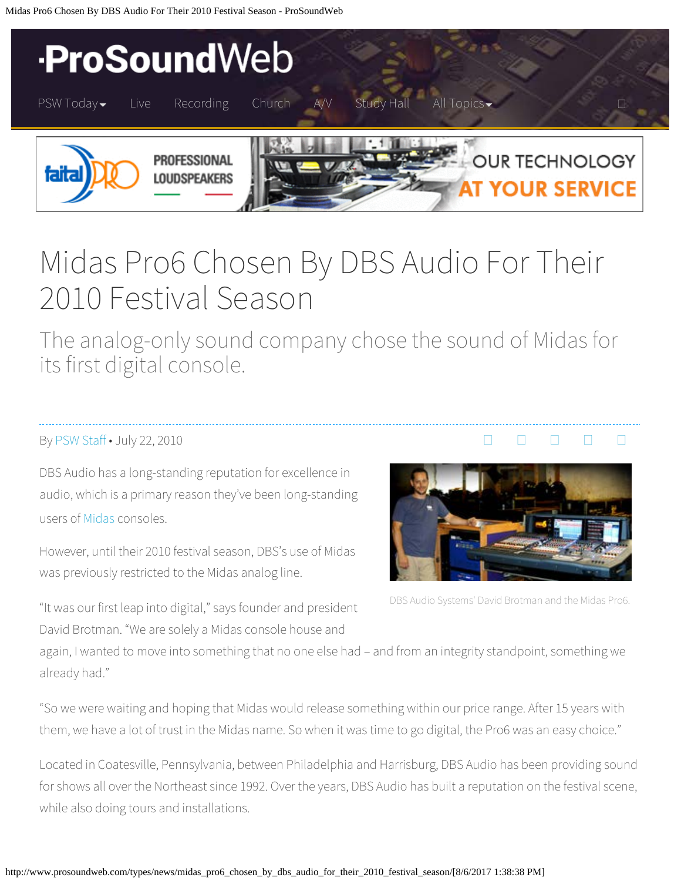Midas Pro6 Chosen By DBS Audio For Their 2010 Festival Season - ProSoundWeb



# Midas Pro6 Chosen By DBS Audio For Their 2010 Festival Season

The analog-only sound company chose the sound of Midas for its first digital console.

### B[y PSW Staff](http://www.prosoundweb.com/author/psw-staff/) • July 22, 2010

DBS Audio has a long-standing reputation for excellence in audio, which is a primary reason they've been long-standing users of [Midas](http://www.midasconsoles.com/) consoles.

However, until their 2010 festival season, DBS's use of Midas was previously restricted to the Midas analog line.



 $\begin{array}{ccccccccccccccccc} \Box & \Box & \Box & \Box & \Box & \Box & \Box \end{array}$ 

DBS Audio Systems' David Brotman and the Midas Pro6.

"It was our first leap into digital," says founder and president David Brotman. "We are solely a Midas console house and

again, I wanted to move into something that no one else had – and from an integrity standpoint, something we already had."

"So we were waiting and hoping that Midas would release something within our price range. After 15 years with them, we have a lot of trust in the Midas name. So when it was time to go digital, the Pro6 was an easy choice."

Located in Coatesville, Pennsylvania, between Philadelphia and Harrisburg, DBS Audio has been providing sound for shows all over the Northeast since 1992. Over the years, DBS Audio has built a reputation on the festival scene, while also doing tours and installations.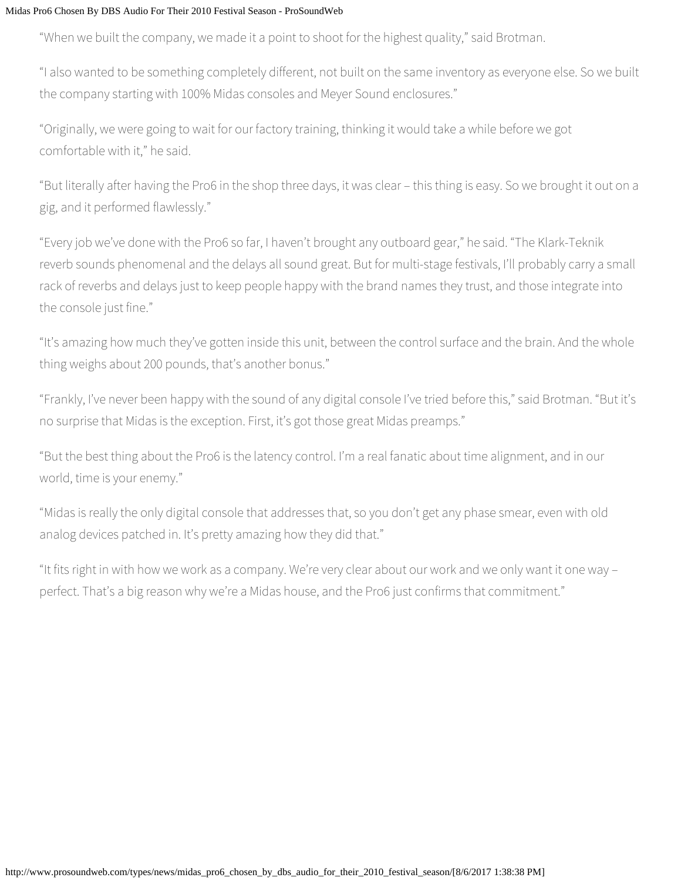#### Midas Pro6 Chosen By DBS Audio For Their 2010 Festival Season - ProSoundWeb

"When we built the company, we made it a point to shoot for the highest quality," said Brotman.

"I also wanted to be something completely different, not built on the same inventory as everyone else. So we built the company starting with 100% Midas consoles and Meyer Sound enclosures."

"Originally, we were going to wait for our factory training, thinking it would take a while before we got comfortable with it," he said.

"But literally after having the Pro6 in the shop three days, it was clear – this thing is easy. So we brought it out on a gig, and it performed flawlessly."

"Every job we've done with the Pro6 so far, I haven't brought any outboard gear," he said. "The Klark-Teknik reverb sounds phenomenal and the delays all sound great. But for multi-stage festivals, I'll probably carry a small rack of reverbs and delays just to keep people happy with the brand names they trust, and those integrate into the console just fine."

"It's amazing how much they've gotten inside this unit, between the control surface and the brain. And the whole thing weighs about 200 pounds, that's another bonus."

"Frankly, I've never been happy with the sound of any digital console I've tried before this," said Brotman. "But it's no surprise that Midas is the exception. First, it's got those great Midas preamps."

"But the best thing about the Pro6 is the latency control. I'm a real fanatic about time alignment, and in our world, time is your enemy."

"Midas is really the only digital console that addresses that, so you don't get any phase smear, even with old analog devices patched in. It's pretty amazing how they did that."

"It fits right in with how we work as a company. We're very clear about our work and we only want it one way – perfect. That's a big reason why we're a Midas house, and the Pro6 just confirms that commitment."